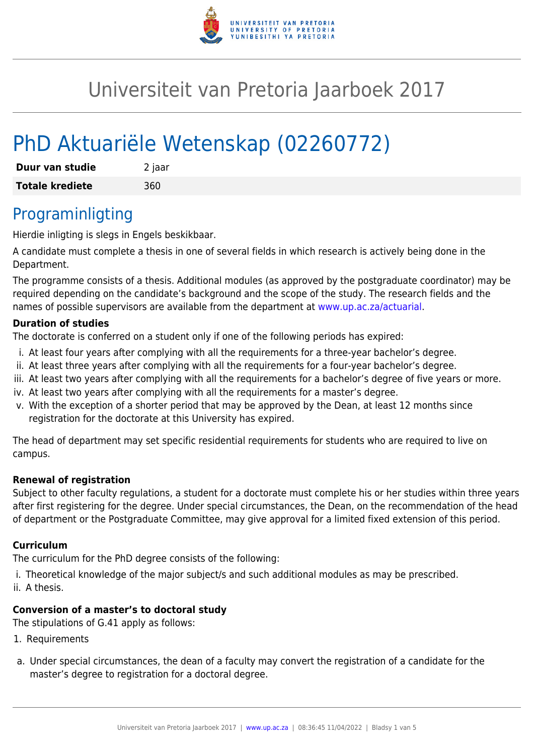

# Universiteit van Pretoria Jaarboek 2017

# PhD Aktuariële Wetenskap (02260772)

| Duur van studie        | 2 jaar |
|------------------------|--------|
| <b>Totale krediete</b> | 360    |

### Programinligting

Hierdie inligting is slegs in Engels beskikbaar.

A candidate must complete a thesis in one of several fields in which research is actively being done in the Department.

The programme consists of a thesis. Additional modules (as approved by the postgraduate coordinator) may be required depending on the candidate's background and the scope of the study. The research fields and the names of possible supervisors are available from the department at [www.up.ac.za/actuarial](http://www.up.ac.za/actuarial).

#### **Duration of studies**

The doctorate is conferred on a student only if one of the following periods has expired:

- i. At least four years after complying with all the requirements for a three-year bachelor's degree.
- ii. At least three years after complying with all the requirements for a four-year bachelor's degree.
- iii. At least two years after complying with all the requirements for a bachelor's degree of five years or more.
- iv. At least two years after complying with all the requirements for a master's degree.
- v. With the exception of a shorter period that may be approved by the Dean, at least 12 months since registration for the doctorate at this University has expired.

The head of department may set specific residential requirements for students who are required to live on campus.

#### **Renewal of registration**

Subject to other faculty regulations, a student for a doctorate must complete his or her studies within three years after first registering for the degree. Under special circumstances, the Dean, on the recommendation of the head of department or the Postgraduate Committee, may give approval for a limited fixed extension of this period.

#### **Curriculum**

The curriculum for the PhD degree consists of the following:

- i. Theoretical knowledge of the major subject/s and such additional modules as may be prescribed.
- ii. A thesis.

#### **Conversion of a master's to doctoral study**

The stipulations of G.41 apply as follows:

- 1. Requirements
- a. Under special circumstances, the dean of a faculty may convert the registration of a candidate for the master's degree to registration for a doctoral degree.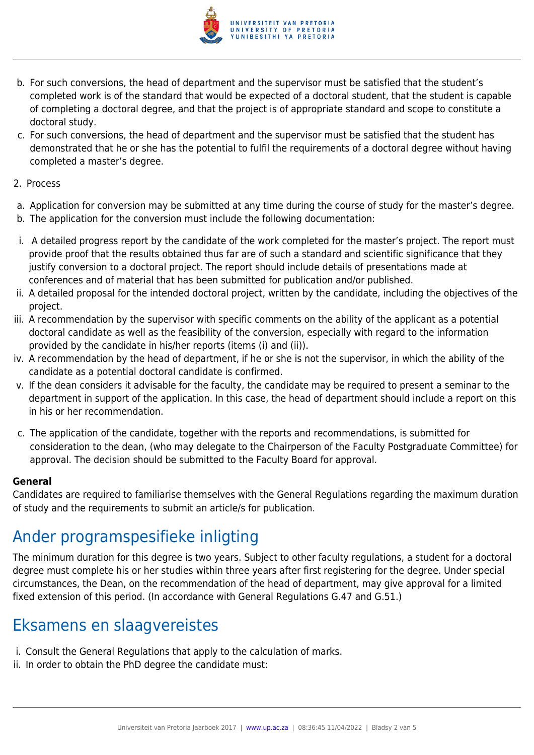

- b. For such conversions, the head of department and the supervisor must be satisfied that the student's completed work is of the standard that would be expected of a doctoral student, that the student is capable of completing a doctoral degree, and that the project is of appropriate standard and scope to constitute a doctoral study.
- c. For such conversions, the head of department and the supervisor must be satisfied that the student has demonstrated that he or she has the potential to fulfil the requirements of a doctoral degree without having completed a master's degree.
- 2. Process
- a. Application for conversion may be submitted at any time during the course of study for the master's degree.
- b. The application for the conversion must include the following documentation:
- i. A detailed progress report by the candidate of the work completed for the master's project. The report must provide proof that the results obtained thus far are of such a standard and scientific significance that they justify conversion to a doctoral project. The report should include details of presentations made at conferences and of material that has been submitted for publication and/or published.
- ii. A detailed proposal for the intended doctoral project, written by the candidate, including the objectives of the project.
- iii. A recommendation by the supervisor with specific comments on the ability of the applicant as a potential doctoral candidate as well as the feasibility of the conversion, especially with regard to the information provided by the candidate in his/her reports (items (i) and (ii)).
- iv. A recommendation by the head of department, if he or she is not the supervisor, in which the ability of the candidate as a potential doctoral candidate is confirmed.
- v. If the dean considers it advisable for the faculty, the candidate may be required to present a seminar to the department in support of the application. In this case, the head of department should include a report on this in his or her recommendation.
- c. The application of the candidate, together with the reports and recommendations, is submitted for consideration to the dean, (who may delegate to the Chairperson of the Faculty Postgraduate Committee) for approval. The decision should be submitted to the Faculty Board for approval.

#### **General**

Candidates are required to familiarise themselves with the General Regulations regarding the maximum duration of study and the requirements to submit an article/s for publication.

## Ander programspesifieke inligting

The minimum duration for this degree is two years. Subject to other faculty regulations, a student for a doctoral degree must complete his or her studies within three years after first registering for the degree. Under special circumstances, the Dean, on the recommendation of the head of department, may give approval for a limited fixed extension of this period. (In accordance with General Regulations G.47 and G.51.)

## Eksamens en slaagvereistes

- i. Consult the General Regulations that apply to the calculation of marks.
- ii. In order to obtain the PhD degree the candidate must: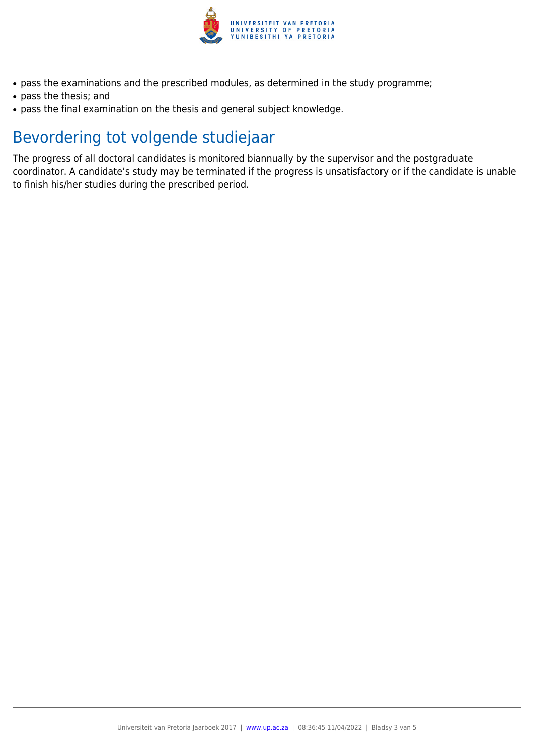

- pass the examinations and the prescribed modules, as determined in the study programme;
- pass the thesis; and
- pass the final examination on the thesis and general subject knowledge.

## Bevordering tot volgende studiejaar

The progress of all doctoral candidates is monitored biannually by the supervisor and the postgraduate coordinator. A candidate's study may be terminated if the progress is unsatisfactory or if the candidate is unable to finish his/her studies during the prescribed period.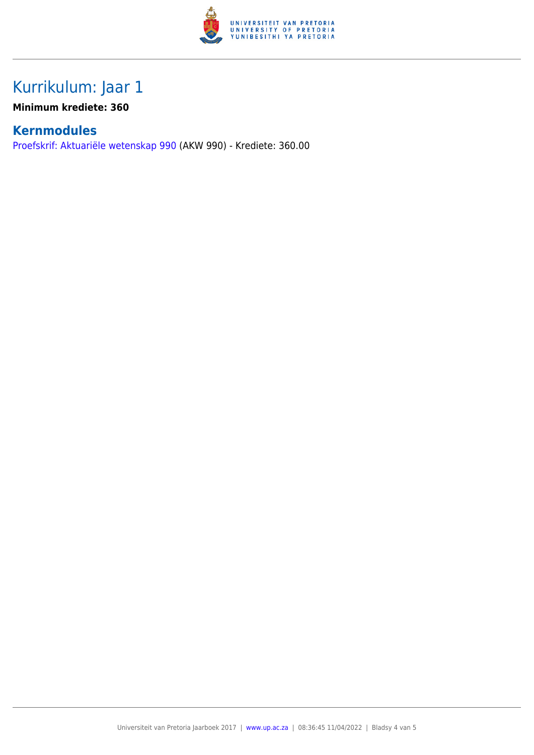

## Kurrikulum: Jaar 1

**Minimum krediete: 360**

### **Kernmodules**

[Proefskrif: Aktuariële wetenskap 990](https://www.up.ac.za/faculty-of-education/yearbooks/2017/modules/view/AKW 990/lg/af) (AKW 990) - Krediete: 360.00